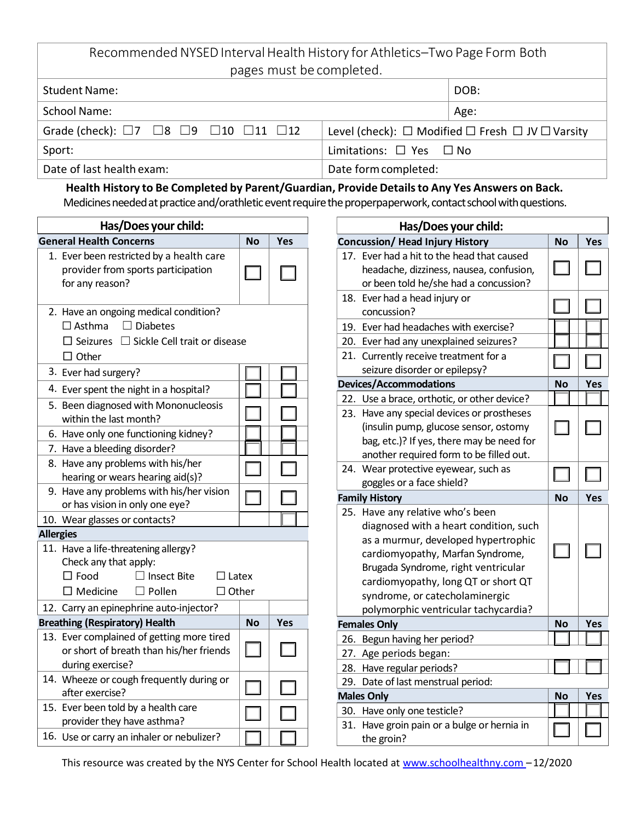| Recommended NYSED Interval Health History for Athletics-Two Page Form Both |                                   |                                                                      |  |
|----------------------------------------------------------------------------|-----------------------------------|----------------------------------------------------------------------|--|
| pages must be completed.                                                   |                                   |                                                                      |  |
| <b>Student Name:</b>                                                       |                                   | DOB:                                                                 |  |
| <b>School Name:</b>                                                        |                                   | Age:                                                                 |  |
| Grade (check): $\Box 7$ $\Box 8$ $\Box 9$ $\Box 10$ $\Box 11$ $\Box 12$    |                                   | Level (check): $\Box$ Modified $\Box$ Fresh $\Box$ JV $\Box$ Varsity |  |
| Sport:                                                                     | Limitations: $\Box$ Yes $\Box$ No |                                                                      |  |
| Date of last health exam:                                                  | Date form completed:              |                                                                      |  |

# **Health History to Be Completed by Parent/Guardian, Provide Detailsto Any Yes Answers on Back.**

Medicines needed at practice and/orathletic event require the properpaperwork, contact school with questions.

| Has/Does your child: |                                                                                                                                                                              |           |     |  |
|----------------------|------------------------------------------------------------------------------------------------------------------------------------------------------------------------------|-----------|-----|--|
|                      | <b>General Health Concerns</b>                                                                                                                                               | <b>No</b> | Yes |  |
|                      | 1. Ever been restricted by a health care<br>provider from sports participation<br>for any reason?                                                                            |           |     |  |
|                      | 2. Have an ongoing medical condition?<br>$\Box$ Diabetes<br>$\square$ Asthma<br>$\Box$ Seizures $\Box$ Sickle Cell trait or disease<br>$\Box$ Other                          |           |     |  |
|                      | 3. Ever had surgery?                                                                                                                                                         |           |     |  |
|                      | 4. Ever spent the night in a hospital?                                                                                                                                       |           |     |  |
|                      | 5. Been diagnosed with Mononucleosis<br>within the last month?                                                                                                               |           |     |  |
|                      | 6. Have only one functioning kidney?                                                                                                                                         |           |     |  |
|                      | 7. Have a bleeding disorder?                                                                                                                                                 |           |     |  |
|                      | 8. Have any problems with his/her<br>hearing or wears hearing aid(s)?                                                                                                        |           |     |  |
|                      | 9. Have any problems with his/her vision<br>or has vision in only one eye?                                                                                                   |           |     |  |
|                      | 10. Wear glasses or contacts?                                                                                                                                                |           |     |  |
| <b>Allergies</b>     |                                                                                                                                                                              |           |     |  |
|                      | 11. Have a life-threatening allergy?<br>Check any that apply:<br>$\square$ Food<br>$\Box$ Insect Bite<br>$\Box$ Latex<br>$\square$ Medicine<br>$\Box$ Other<br>$\Box$ Pollen |           |     |  |
|                      | 12. Carry an epinephrine auto-injector?                                                                                                                                      |           |     |  |
|                      | <b>Breathing (Respiratory) Health</b>                                                                                                                                        | <b>No</b> | Yes |  |
|                      | 13. Ever complained of getting more tired<br>or short of breath than his/her friends<br>during exercise?                                                                     |           |     |  |
|                      | 14. Wheeze or cough frequently during or<br>after exercise?                                                                                                                  |           |     |  |
|                      | 15. Ever been told by a health care<br>provider they have asthma?                                                                                                            |           |     |  |
|                      | 16. Use or carry an inhaler or nebulizer?                                                                                                                                    |           |     |  |

| Has/Does your child:  |                                                       |           |     |
|-----------------------|-------------------------------------------------------|-----------|-----|
|                       | <b>Concussion/ Head Injury History</b>                | No        | Yes |
|                       | 17. Ever had a hit to the head that caused            |           |     |
|                       | headache, dizziness, nausea, confusion,               |           |     |
|                       | or been told he/she had a concussion?                 |           |     |
| 18.                   | Ever had a head injury or                             |           |     |
|                       | concussion?                                           |           |     |
|                       | 19. Ever had headaches with exercise?                 |           |     |
|                       | 20. Ever had any unexplained seizures?                |           |     |
| 21.                   | Currently receive treatment for a                     |           |     |
|                       | seizure disorder or epilepsy?                         |           |     |
|                       | <b>Devices/Accommodations</b>                         | <b>No</b> | Yes |
|                       | 22. Use a brace, orthotic, or other device?           |           |     |
| 23.                   | Have any special devices or prostheses                |           |     |
|                       | (insulin pump, glucose sensor, ostomy                 |           |     |
|                       | bag, etc.)? If yes, there may be need for             |           |     |
|                       | another required form to be filled out.               |           |     |
|                       | 24. Wear protective eyewear, such as                  |           |     |
|                       | goggles or a face shield?                             |           |     |
| <b>Family History</b> |                                                       | <b>No</b> | Yes |
|                       | 25. Have any relative who's been                      |           |     |
|                       | diagnosed with a heart condition, such                |           |     |
|                       |                                                       |           |     |
|                       | as a murmur, developed hypertrophic                   |           |     |
|                       | cardiomyopathy, Marfan Syndrome,                      |           |     |
|                       | Brugada Syndrome, right ventricular                   |           |     |
|                       | cardiomyopathy, long QT or short QT                   |           |     |
|                       | syndrome, or catecholaminergic                        |           |     |
|                       | polymorphic ventricular tachycardia?                  |           |     |
|                       | <b>Females Only</b>                                   | <b>No</b> | Yes |
|                       | 26. Begun having her period?                          |           |     |
|                       | 27. Age periods began:                                |           |     |
|                       | 28. Have regular periods?                             |           |     |
| 29.                   | Date of last menstrual period:                        |           |     |
|                       | <b>Males Only</b>                                     | No        | Yes |
| 30.                   | Have only one testicle?                               |           |     |
| 31.                   | Have groin pain or a bulge or hernia in<br>the groin? |           |     |

This resource was created by the NYS Center for School Health located at [www.schoolhealthny.com](http://www.schoolhealthny.com/) –12/2020